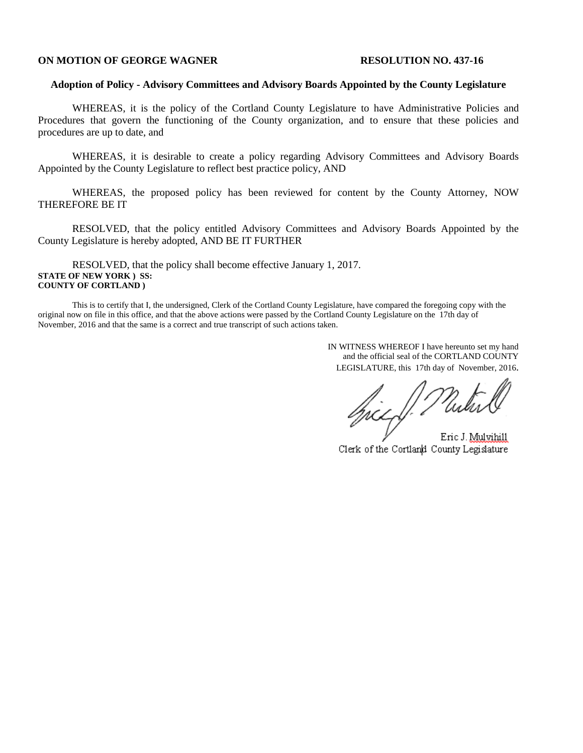#### **ON MOTION OF GEORGE WAGNER RESOLUTION NO. 437-16**

#### **Adoption of Policy - Advisory Committees and Advisory Boards Appointed by the County Legislature**

WHEREAS, it is the policy of the Cortland County Legislature to have Administrative Policies and Procedures that govern the functioning of the County organization, and to ensure that these policies and procedures are up to date, and

WHEREAS, it is desirable to create a policy regarding Advisory Committees and Advisory Boards Appointed by the County Legislature to reflect best practice policy, AND

WHEREAS, the proposed policy has been reviewed for content by the County Attorney, NOW THEREFORE BE IT

RESOLVED, that the policy entitled Advisory Committees and Advisory Boards Appointed by the County Legislature is hereby adopted, AND BE IT FURTHER

RESOLVED, that the policy shall become effective January 1, 2017. **STATE OF NEW YORK ) SS: COUNTY OF CORTLAND )**

This is to certify that I, the undersigned, Clerk of the Cortland County Legislature, have compared the foregoing copy with the original now on file in this office, and that the above actions were passed by the Cortland County Legislature on the 17th day of November, 2016 and that the same is a correct and true transcript of such actions taken.

> IN WITNESS WHEREOF I have hereunto set my hand and the official seal of the CORTLAND COUNTY LEGISLATURE, this 17th day of November, 2016.

Spiel Plutur

Eric J. Mulvihill Clerk of the Cortland County Legislature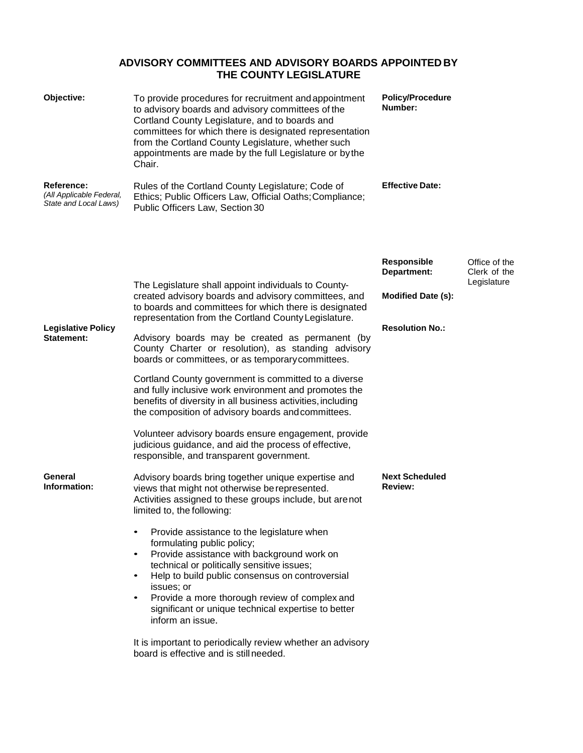# **ADVISORY COMMITTEES AND ADVISORY BOARDS APPOINTED BY THE COUNTY LEGISLATURE**

| Objective:                                                      | To provide procedures for recruitment and appointment<br>to advisory boards and advisory committees of the<br>Cortland County Legislature, and to boards and<br>committees for which there is designated representation<br>from the Cortland County Legislature, whether such<br>appointments are made by the full Legislature or by the<br>Chair.                                                       | <b>Policy/Procedure</b><br>Number: |                                              |
|-----------------------------------------------------------------|----------------------------------------------------------------------------------------------------------------------------------------------------------------------------------------------------------------------------------------------------------------------------------------------------------------------------------------------------------------------------------------------------------|------------------------------------|----------------------------------------------|
| Reference:<br>(All Applicable Federal,<br>State and Local Laws) | Rules of the Cortland County Legislature; Code of<br>Ethics; Public Officers Law, Official Oaths; Compliance;<br>Public Officers Law, Section 30                                                                                                                                                                                                                                                         | <b>Effective Date:</b>             |                                              |
|                                                                 |                                                                                                                                                                                                                                                                                                                                                                                                          | Responsible<br>Department:         | Office of the<br>Clerk of the<br>Legislature |
| <b>Legislative Policy</b><br>Statement:                         | The Legislature shall appoint individuals to County-<br>created advisory boards and advisory committees, and<br>to boards and committees for which there is designated<br>representation from the Cortland County Legislature.                                                                                                                                                                           | <b>Modified Date (s):</b>          |                                              |
|                                                                 | Advisory boards may be created as permanent (by<br>County Charter or resolution), as standing advisory<br>boards or committees, or as temporary committees.                                                                                                                                                                                                                                              | <b>Resolution No.:</b>             |                                              |
|                                                                 | Cortland County government is committed to a diverse<br>and fully inclusive work environment and promotes the<br>benefits of diversity in all business activities, including<br>the composition of advisory boards and committees.                                                                                                                                                                       |                                    |                                              |
|                                                                 | Volunteer advisory boards ensure engagement, provide<br>judicious guidance, and aid the process of effective,<br>responsible, and transparent government.                                                                                                                                                                                                                                                |                                    |                                              |
| General<br>Information:                                         | Advisory boards bring together unique expertise and<br>views that might not otherwise be represented.<br>Activities assigned to these groups include, but arenot<br>limited to, the following:                                                                                                                                                                                                           | <b>Next Scheduled</b><br>Review:   |                                              |
|                                                                 | Provide assistance to the legislature when<br>formulating public policy;<br>Provide assistance with background work on<br>$\bullet$<br>technical or politically sensitive issues;<br>Help to build public consensus on controversial<br>$\bullet$<br>issues; or<br>Provide a more thorough review of complex and<br>$\bullet$<br>significant or unique technical expertise to better<br>inform an issue. |                                    |                                              |
|                                                                 | It is important to periodically review whether an advisory<br>board is effective and is stillneeded.                                                                                                                                                                                                                                                                                                     |                                    |                                              |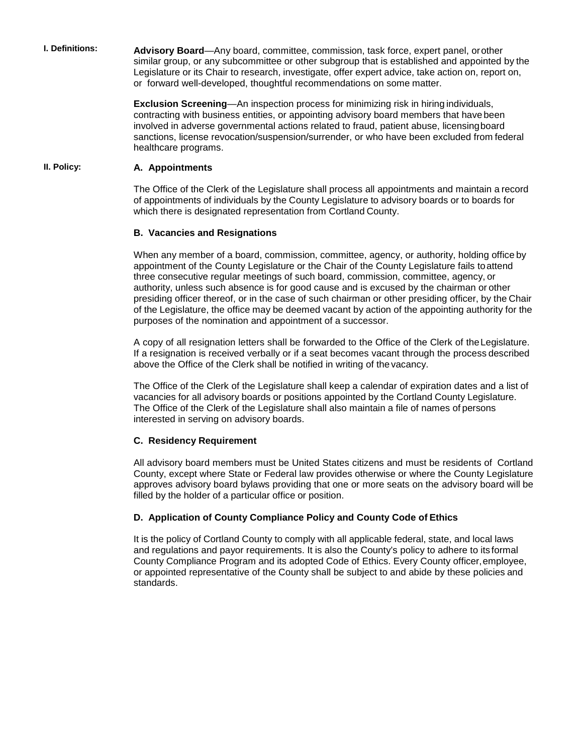**I. Definitions: Advisory Board**—Any board, committee, commission, task force, expert panel, orother similar group, or any subcommittee or other subgroup that is established and appointed by the Legislature or its Chair to research, investigate, offer expert advice, take action on, report on, or forward well-developed, thoughtful recommendations on some matter.

> **Exclusion Screening**—An inspection process for minimizing risk in hiring individuals, contracting with business entities, or appointing advisory board members that have been involved in adverse governmental actions related to fraud, patient abuse, licensingboard sanctions, license revocation/suspension/surrender, or who have been excluded from federal healthcare programs.

#### **II. Policy: A. Appointments**

The Office of the Clerk of the Legislature shall process all appointments and maintain a record of appointments of individuals by the County Legislature to advisory boards or to boards for which there is designated representation from Cortland County.

#### **B. Vacancies and Resignations**

When any member of a board, commission, committee, agency, or authority, holding office by appointment of the County Legislature or the Chair of the County Legislature fails toattend three consecutive regular meetings of such board, commission, committee, agency, or authority, unless such absence is for good cause and is excused by the chairman or other presiding officer thereof, or in the case of such chairman or other presiding officer, by the Chair of the Legislature, the office may be deemed vacant by action of the appointing authority for the purposes of the nomination and appointment of a successor.

A copy of all resignation letters shall be forwarded to the Office of the Clerk of theLegislature. If a resignation is received verbally or if a seat becomes vacant through the process described above the Office of the Clerk shall be notified in writing of the vacancy.

The Office of the Clerk of the Legislature shall keep a calendar of expiration dates and a list of vacancies for all advisory boards or positions appointed by the Cortland County Legislature. The Office of the Clerk of the Legislature shall also maintain a file of names of persons interested in serving on advisory boards.

#### **C. Residency Requirement**

All advisory board members must be United States citizens and must be residents of Cortland County, except where State or Federal law provides otherwise or where the County Legislature approves advisory board bylaws providing that one or more seats on the advisory board will be filled by the holder of a particular office or position.

#### **D. Application of County Compliance Policy and County Code of Ethics**

It is the policy of Cortland County to comply with all applicable federal, state, and local laws and regulations and payor requirements. It is also the County's policy to adhere to its formal County Compliance Program and its adopted Code of Ethics. Every County officer,employee, or appointed representative of the County shall be subject to and abide by these policies and standards.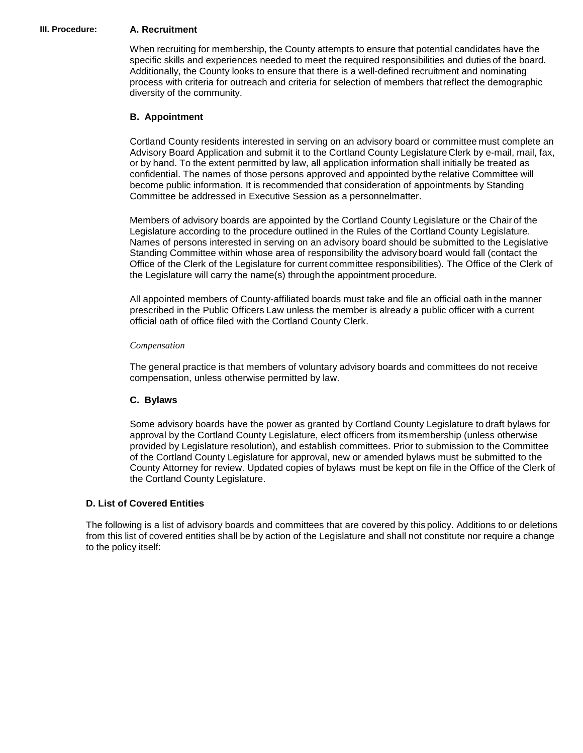#### **III. Procedure: A. Recruitment**

When recruiting for membership, the County attempts to ensure that potential candidates have the specific skills and experiences needed to meet the required responsibilities and duties of the board. Additionally, the County looks to ensure that there is a well-defined recruitment and nominating process with criteria for outreach and criteria for selection of members thatreflect the demographic diversity of the community.

#### **B. Appointment**

Cortland County residents interested in serving on an advisory board or committee must complete an Advisory Board Application and submit it to the Cortland County LegislatureClerk by e-mail, mail, fax, or by hand. To the extent permitted by law, all application information shall initially be treated as confidential. The names of those persons approved and appointed bythe relative Committee will become public information. It is recommended that consideration of appointments by Standing Committee be addressed in Executive Session as a personnelmatter.

Members of advisory boards are appointed by the Cortland County Legislature or the Chair of the Legislature according to the procedure outlined in the Rules of the Cortland County Legislature. Names of persons interested in serving on an advisory board should be submitted to the Legislative Standing Committee within whose area of responsibility the advisory board would fall (contact the Office of the Clerk of the Legislature for current committee responsibilities). The Office of the Clerk of the Legislature will carry the name(s) through the appointment procedure.

All appointed members of County-affiliated boards must take and file an official oath in the manner prescribed in the Public Officers Law unless the member is already a public officer with a current official oath of office filed with the Cortland County Clerk.

#### *Compensation*

The general practice is that members of voluntary advisory boards and committees do not receive compensation, unless otherwise permitted by law.

## **C. Bylaws**

Some advisory boards have the power as granted by Cortland County Legislature to draft bylaws for approval by the Cortland County Legislature, elect officers from itsmembership (unless otherwise provided by Legislature resolution), and establish committees. Prior to submission to the Committee of the Cortland County Legislature for approval, new or amended bylaws must be submitted to the County Attorney for review. Updated copies of bylaws must be kept on file in the Office of the Clerk of the Cortland County Legislature.

## **D. List of Covered Entities**

The following is a list of advisory boards and committees that are covered by this policy. Additions to or deletions from this list of covered entities shall be by action of the Legislature and shall not constitute nor require a change to the policy itself: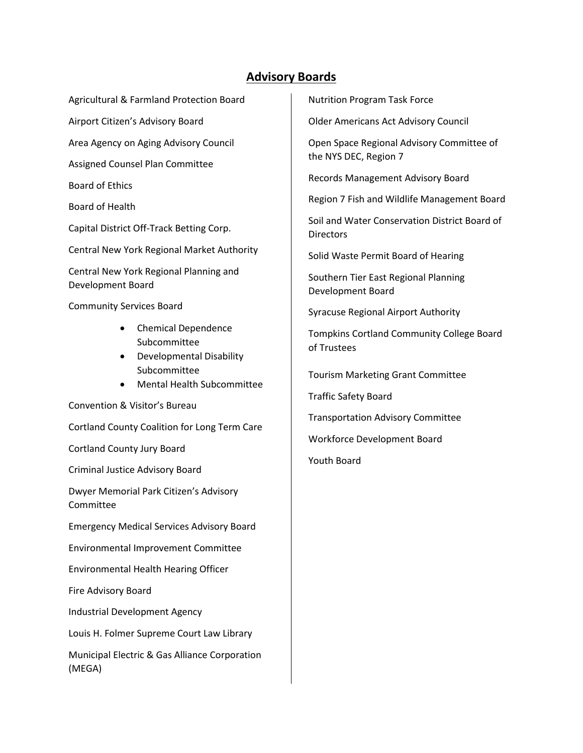# **Advisory Boards**

Agricultural & Farmland Protection Board

Airport Citizen's Advisory Board

Area Agency on Aging Advisory Council

Assigned Counsel Plan Committee

Board of Ethics

Board of Health

Capital District Off-Track Betting Corp.

Central New York Regional Market Authority

Central New York Regional Planning and Development Board

Community Services Board

- Chemical Dependence Subcommittee
- Developmental Disability Subcommittee
- Mental Health Subcommittee

Convention & Visitor's Bureau

Cortland County Coalition for Long Term Care

Cortland County Jury Board

Criminal Justice Advisory Board

Dwyer Memorial Park Citizen's Advisory Committee

Emergency Medical Services Advisory Board

Environmental Improvement Committee

Environmental Health Hearing Officer

Fire Advisory Board

Industrial Development Agency

Louis H. Folmer Supreme Court Law Library

Municipal Electric & Gas Alliance Corporation (MEGA)

Nutrition Program Task Force

Older Americans Act Advisory Council

Open Space Regional Advisory Committee of the NYS DEC, Region 7

Records Management Advisory Board

Region 7 Fish and Wildlife Management Board

Soil and Water Conservation District Board of **Directors** 

Solid Waste Permit Board of Hearing

Southern Tier East Regional Planning Development Board

Syracuse Regional Airport Authority

Tompkins Cortland Community College Board of Trustees

Tourism Marketing Grant Committee

Traffic Safety Board

Transportation Advisory Committee

Workforce Development Board

Youth Board